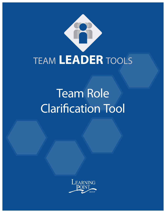

# Team Role Clarification Tool

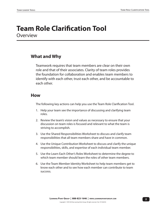### **Team Role Clarification Tool Overview**

### **What and Why**

Teamwork requires that team members are clear on their own role and that of their associates. Clarity of team roles provides the foundation for collaboration and enables team members to identify with each other, trust each other, and be accountable to each other.

### **How**

The following key actions can help you use the Team Role Clarification Tool.

- 1. Help your team see the importance of discussing and clarifying team roles.
- 2. Review the team's vision and values as necessary to ensure that your discussion on team roles is focused and relevant to what the team is striving to accomplish.
- 3. Use the Shared Responsibilities Worksheet to discuss and clarify team responsibilities that all team members share and have in common.
- 4. Use the Unique Contribution Worksheet to discuss and clarify the unique responsibilities, skills, and expertise of each individual team member.
- 5. Use the Learn Each Other's Roles Worksheet to determine the degree to which team member should learn the roles of other team members.
- 6. Use the Team Member Identity Worksheet to help team members get to know each other and to see how each member can contribute to team success.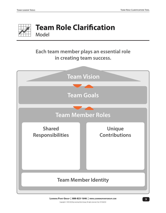

## **Team Role Clarification** Model

### **Each team member plays an essential role in creating team success.**

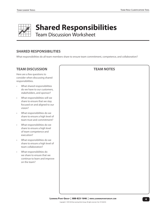

# **Shared Responsibilities**

Team Discussion Worksheet

### **SHARED RESPONSIBILITIES**

What responsibilities do all team members share to ensure team commitment, competence, and collaboration?

### **TEAM DISCUSSION**

Here are a few questions to consider when discussing shared responsibilities.

- What shared responsibilities do we have to our customers, stakeholders, and sponsor?
- What responsibilities will we share to ensure that we stay focused on and aligned to our vision?
- What responsibilities do we share to ensure a high level of team trust and commitment?
- What responsibilities do we share to ensure a high level of team competence and execution?
- What responsibilities do we share to ensure a high level of team collaboration?
- What responsibilities do we share to ensure that we continue to learn and improve on the team?

#### **TEAM NOTES**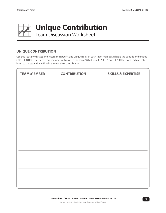

# **Unique Contribution**

Team Discussion Worksheet

### **UNIQUE CONTRIBUTION**

Use this space to discuss and record the specific and unique roles of each team member. What is the specific and unique CONTRIBUTION that each team member will make to the team? What specific SKILLS and EXPERTISE does each member bring to the team that will help them in their contribution?

| <b>TEAM MEMBER</b> | <b>CONTRIBUTION</b> | <b>SKILLS &amp; EXPERTISE</b> |
|--------------------|---------------------|-------------------------------|
|                    |                     |                               |
|                    |                     |                               |
|                    |                     |                               |
|                    |                     |                               |
|                    |                     |                               |
|                    |                     |                               |
|                    |                     |                               |
|                    |                     |                               |
|                    |                     |                               |
|                    |                     |                               |
|                    |                     |                               |
|                    |                     |                               |
|                    |                     |                               |
|                    |                     |                               |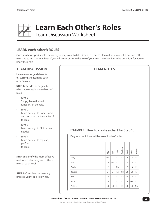

## **Learn Each Other's Roles**

Team Discussion Worksheet

### **LEARN each other's ROLES**

Once you have specific roles defined, you may want to take time as a team to plan out how you will learn each other's roles and to what extent. Even if you will never perform the role of your team member, it may be beneficial for you to know their role.

### **TEAM DISCUSSION**

Here are some guidelines for discussing and learning each other's roles.

**STEP 1:** Decide the degree to which you must learn each other's roles.

- *• Level 1* Simply learn the basic functions of the role.
- *• Level 2* Learn enough to understand and describe the intricacies of the role.
- *• Level 3* Learn enough to fill in when needed.
- *• Level 4* Learn enough to regularly perform the role.

**STEP 2: Identify the most effective** methods for learning each other's roles at each level.

**STEP 3: Complete the learning** process, verify, and follow-up.

### **TEAM NOTES**

### **EXAMPLE: How to create a chart for Step 1.**

| Degree to which we will learn each other's roles. |                |            |                |           |                |                |                |
|---------------------------------------------------|----------------|------------|----------------|-----------|----------------|----------------|----------------|
|                                                   | Mary           | <b>Sim</b> | Caleb          | Reuben    | Vani           | Brita          | Perkins        |
| Mary                                              | <b>NA</b>      | L1         | L1             | L2        | L1             | L <sub>3</sub> | L4             |
| Jim                                               | L2             | <b>NA</b>  | L2             | L2        | L2             | L <sub>3</sub> | L2             |
| Caleb                                             | L2             | L1         | <b>NA</b>      | L2        | L <sub>3</sub> | L3             | L <sub>3</sub> |
| Reuben                                            | L1             | L1         | L2             | <b>NA</b> | L1             | L4             | L2             |
| Vani                                              | L3             | L1         | L <sub>3</sub> | L2        | <b>NA</b>      | L <sub>3</sub> | L2             |
| <b>Brita</b>                                      | L <sub>3</sub> | L1         | L1             | L2        | L1             | <b>NA</b>      | L1             |
| Perkins                                           | L3             | L4         | L1             | L2        | L1             | L4             | <b>NA</b>      |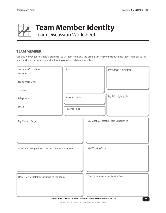

## **Team Member Identity**

Team Discussion Worksheet

#### **TEAM MEMBER: \_\_\_\_\_\_\_\_\_\_\_\_\_\_\_\_\_\_\_\_\_\_\_\_\_\_\_\_\_\_\_\_\_\_\_\_**

Use this worksheet to create a profile for each team member. The profile can help to introduce the team member to the team and foster a common understanding of who each team member is.

| <b>Current Information</b><br>Position        | Photo                 |                                    | My Career Highlights |  |  |  |
|-----------------------------------------------|-----------------------|------------------------------------|----------------------|--|--|--|
| Team/Work Unit                                |                       |                                    |                      |  |  |  |
| Location                                      |                       |                                    |                      |  |  |  |
| Telephone                                     | <b>Favorite Color</b> |                                    | My Life Highlights   |  |  |  |
| Email                                         | Favorite Food         |                                    |                      |  |  |  |
| My Current Projects                           |                       | My Most Successful Team Experience |                      |  |  |  |
| One Thing People Probably Don't Know About Me |                       | My Working Style                   |                      |  |  |  |
| How I See Myself Contributing to the Team     |                       | One Question I Have for the Team   |                      |  |  |  |

**7 Learning Point Group | 888-823-1646 | www.learningpointgroup.com**

Copyright © 1997/2018 by Learning Point Group. All rights reserved. Rev. TLT-042018